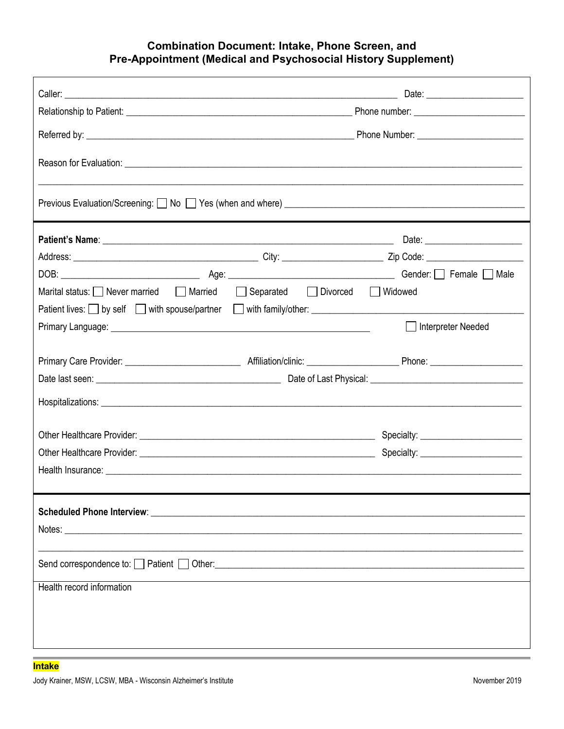### **Combination Document: Intake, Phone Screen, and Pre-Appointment (Medical and Psychosocial History Supplement)**

| Marital status: Never married Married Separated Divorced Widowed                                                                                                                                                               |  |                      |
|--------------------------------------------------------------------------------------------------------------------------------------------------------------------------------------------------------------------------------|--|----------------------|
| Patient lives: Suby self Substitution of the spouse/partner Substitution with family/other: Substitution of the substitution of the spouse of the spouse of the spouse of the spouse of the spouse of the spouse of the spouse |  |                      |
| Primary Language: No. 2008. The Contract of the Contract of the Contract of the Contract of the Contract of the                                                                                                                |  | □ Interpreter Needed |
|                                                                                                                                                                                                                                |  |                      |
|                                                                                                                                                                                                                                |  |                      |
|                                                                                                                                                                                                                                |  |                      |
|                                                                                                                                                                                                                                |  |                      |
|                                                                                                                                                                                                                                |  |                      |
|                                                                                                                                                                                                                                |  |                      |
|                                                                                                                                                                                                                                |  |                      |
|                                                                                                                                                                                                                                |  |                      |
|                                                                                                                                                                                                                                |  |                      |
|                                                                                                                                                                                                                                |  |                      |
|                                                                                                                                                                                                                                |  |                      |
|                                                                                                                                                                                                                                |  |                      |
|                                                                                                                                                                                                                                |  |                      |
| Health record information                                                                                                                                                                                                      |  |                      |
|                                                                                                                                                                                                                                |  |                      |
|                                                                                                                                                                                                                                |  |                      |
|                                                                                                                                                                                                                                |  |                      |
|                                                                                                                                                                                                                                |  |                      |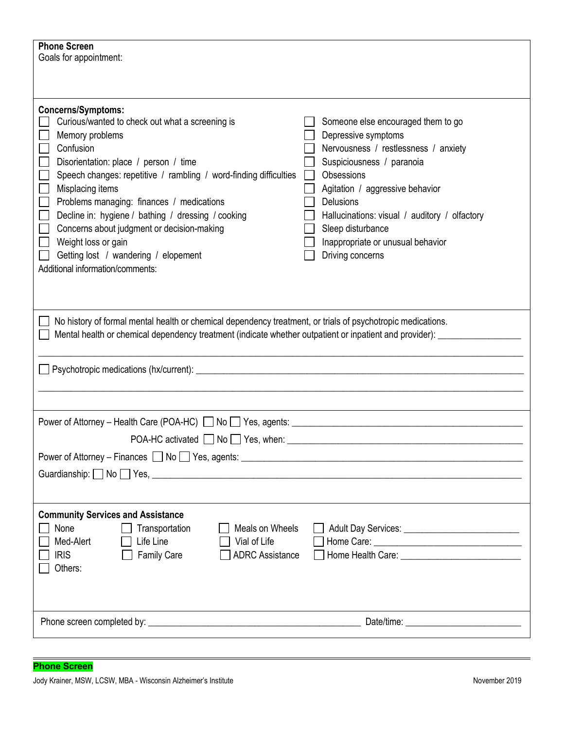| <b>Phone Screen</b><br>Goals for appointment:                                                                                                                                                                                                                                                                                                                                                                                                                                                                       |                                                                                                                                                                                                                                                                                                                             |
|---------------------------------------------------------------------------------------------------------------------------------------------------------------------------------------------------------------------------------------------------------------------------------------------------------------------------------------------------------------------------------------------------------------------------------------------------------------------------------------------------------------------|-----------------------------------------------------------------------------------------------------------------------------------------------------------------------------------------------------------------------------------------------------------------------------------------------------------------------------|
|                                                                                                                                                                                                                                                                                                                                                                                                                                                                                                                     |                                                                                                                                                                                                                                                                                                                             |
| <b>Concerns/Symptoms:</b><br>Curious/wanted to check out what a screening is<br>Memory problems<br>Confusion<br>Disorientation: place / person / time<br>Speech changes: repetitive / rambling / word-finding difficulties<br>Misplacing items<br>Problems managing: finances / medications<br>$\mathcal{L}$<br>Decline in: hygiene / bathing / dressing / cooking<br>Concerns about judgment or decision-making<br>Weight loss or gain<br>Getting lost / wandering / elopement<br>Additional information/comments: | Someone else encouraged them to go<br>Depressive symptoms<br>Nervousness / restlessness / anxiety<br>Suspiciousness / paranoia<br>Obsessions<br>Agitation / aggressive behavior<br>Delusions<br>Hallucinations: visual / auditory / olfactory<br>Sleep disturbance<br>Inappropriate or unusual behavior<br>Driving concerns |
| No history of formal mental health or chemical dependency treatment, or trials of psychotropic medications.<br>Mental health or chemical dependency treatment (indicate whether outpatient or inpatient and provider): ______                                                                                                                                                                                                                                                                                       |                                                                                                                                                                                                                                                                                                                             |
| Power of Attorney – Health Care (POA-HC) No Yes, agents: __________                                                                                                                                                                                                                                                                                                                                                                                                                                                 |                                                                                                                                                                                                                                                                                                                             |
| Guardianship: No Yes, No Yes, No Yes, No. 1998. 2014. The Superior Contract of the Superior Contract of the Superior Contract of the Superior Contract of the Superior Contract of the Superior Contract of the Superior Contr                                                                                                                                                                                                                                                                                      |                                                                                                                                                                                                                                                                                                                             |
| <b>Community Services and Assistance</b><br>Meals on Wheels<br>None<br>Transportation<br>Med-Alert<br>Life Line<br>Vial of Life<br><b>ADRC Assistance</b><br><b>IRIS</b><br><b>Family Care</b><br>Others:                                                                                                                                                                                                                                                                                                           |                                                                                                                                                                                                                                                                                                                             |
|                                                                                                                                                                                                                                                                                                                                                                                                                                                                                                                     |                                                                                                                                                                                                                                                                                                                             |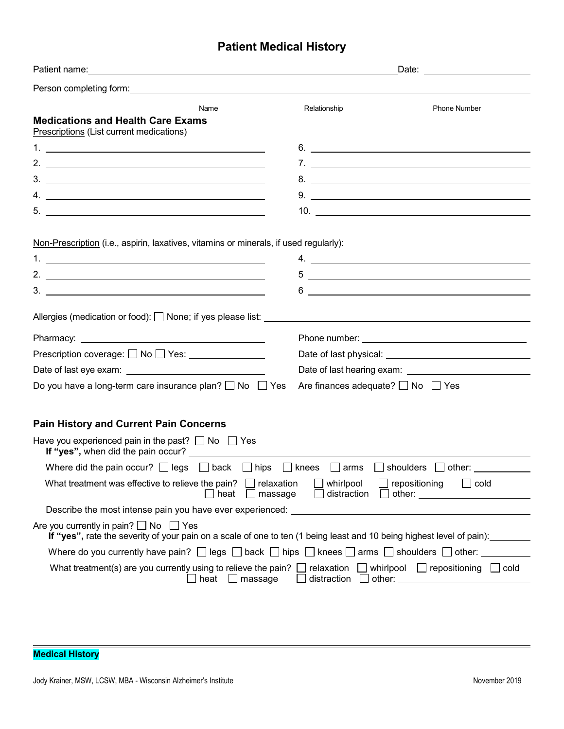# **Patient Medical History**

|                                                                                                                                                                                                                                                                                                                                                                                                                 | Date: with the contract of the contract of the contract of the contract of the contract of the contract of the                |                                                                                            |  |
|-----------------------------------------------------------------------------------------------------------------------------------------------------------------------------------------------------------------------------------------------------------------------------------------------------------------------------------------------------------------------------------------------------------------|-------------------------------------------------------------------------------------------------------------------------------|--------------------------------------------------------------------------------------------|--|
|                                                                                                                                                                                                                                                                                                                                                                                                                 |                                                                                                                               |                                                                                            |  |
| Name<br><b>Medications and Health Care Exams</b><br>Prescriptions (List current medications)                                                                                                                                                                                                                                                                                                                    | Relationship                                                                                                                  | <b>Phone Number</b>                                                                        |  |
|                                                                                                                                                                                                                                                                                                                                                                                                                 |                                                                                                                               | 6.                                                                                         |  |
| 2. $\frac{1}{2}$ $\frac{1}{2}$ $\frac{1}{2}$ $\frac{1}{2}$ $\frac{1}{2}$ $\frac{1}{2}$ $\frac{1}{2}$ $\frac{1}{2}$ $\frac{1}{2}$ $\frac{1}{2}$ $\frac{1}{2}$ $\frac{1}{2}$ $\frac{1}{2}$ $\frac{1}{2}$ $\frac{1}{2}$ $\frac{1}{2}$ $\frac{1}{2}$ $\frac{1}{2}$ $\frac{1}{2}$ $\frac{1}{2}$ $\frac{1}{2}$ $\frac{1}{2}$                                                                                          |                                                                                                                               |                                                                                            |  |
|                                                                                                                                                                                                                                                                                                                                                                                                                 |                                                                                                                               | 8.                                                                                         |  |
| $4. \_$                                                                                                                                                                                                                                                                                                                                                                                                         |                                                                                                                               |                                                                                            |  |
| $5.$ $\overline{\phantom{a}}$                                                                                                                                                                                                                                                                                                                                                                                   |                                                                                                                               |                                                                                            |  |
| Non-Prescription (i.e., aspirin, laxatives, vitamins or minerals, if used regularly):<br>2. $\frac{1}{2}$ $\frac{1}{2}$ $\frac{1}{2}$ $\frac{1}{2}$ $\frac{1}{2}$ $\frac{1}{2}$ $\frac{1}{2}$ $\frac{1}{2}$ $\frac{1}{2}$ $\frac{1}{2}$ $\frac{1}{2}$ $\frac{1}{2}$ $\frac{1}{2}$ $\frac{1}{2}$ $\frac{1}{2}$ $\frac{1}{2}$ $\frac{1}{2}$ $\frac{1}{2}$ $\frac{1}{2}$ $\frac{1}{2}$ $\frac{1}{2}$ $\frac{1}{2}$ | 6                                                                                                                             | $5$ $\overline{\phantom{a}}$<br><u> 1980 - Johann John Stein, fransk politik (f. 1980)</u> |  |
|                                                                                                                                                                                                                                                                                                                                                                                                                 |                                                                                                                               |                                                                                            |  |
| Prescription coverage: □ No □ Yes: ______________                                                                                                                                                                                                                                                                                                                                                               |                                                                                                                               |                                                                                            |  |
|                                                                                                                                                                                                                                                                                                                                                                                                                 |                                                                                                                               |                                                                                            |  |
| Do you have a long-term care insurance plan? $\Box$ No $\Box$ Yes                                                                                                                                                                                                                                                                                                                                               | Are finances adequate? $\Box$ No $\Box$ Yes                                                                                   |                                                                                            |  |
| <b>Pain History and Current Pain Concerns</b>                                                                                                                                                                                                                                                                                                                                                                   |                                                                                                                               |                                                                                            |  |
| Have you experienced pain in the past? $\Box$ No $\Box$ Yes                                                                                                                                                                                                                                                                                                                                                     |                                                                                                                               |                                                                                            |  |
| Where did the pain occur? $\Box$ legs $\Box$ back $\Box$ hips<br>$\Box$ knees $\Box$ arms $\Box$ shoulders $\Box$ other:                                                                                                                                                                                                                                                                                        |                                                                                                                               |                                                                                            |  |
| What treatment was effective to relieve the pain? $\Box$ relaxation<br>$\Box$ cold<br>$\Box$ whirlpool<br>$\Box$ repositioning<br>$\Box$ distraction $\Box$ other: $\Box$<br>heat<br>$\Box$ massage                                                                                                                                                                                                             |                                                                                                                               |                                                                                            |  |
| Describe the most intense pain you have ever experienced: _______________________                                                                                                                                                                                                                                                                                                                               |                                                                                                                               |                                                                                            |  |
| Are you currently in pain? $\Box$ No $\Box$ Yes<br>If "yes", rate the severity of your pain on a scale of one to ten (1 being least and 10 being highest level of pain): _______                                                                                                                                                                                                                                |                                                                                                                               |                                                                                            |  |
|                                                                                                                                                                                                                                                                                                                                                                                                                 | Where do you currently have pain? $\Box$ legs $\Box$ back $\Box$ hips $\Box$ knees $\Box$ arms $\Box$ shoulders $\Box$ other: |                                                                                            |  |
| What treatment(s) are you currently using to relieve the pain? $\Box$ relaxation $\Box$ whirlpool $\Box$ repositioning $\Box$ cold<br>$heat$ massage                                                                                                                                                                                                                                                            |                                                                                                                               |                                                                                            |  |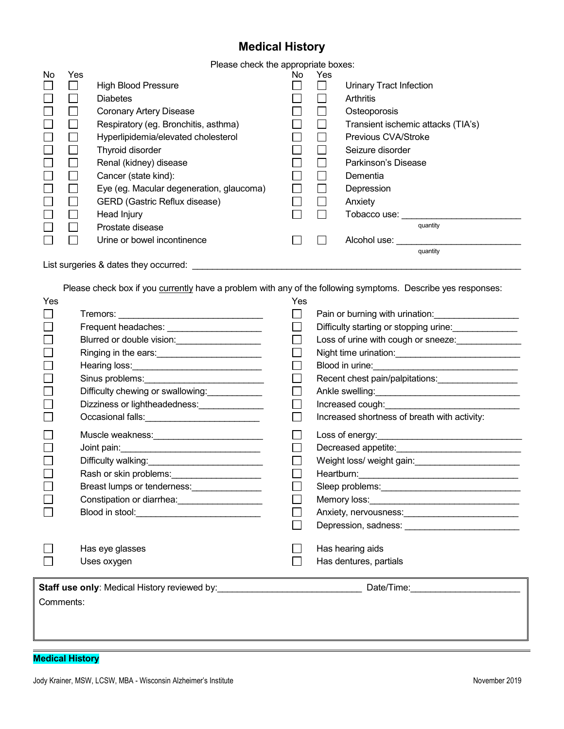## **Medical History**

Please check the appropriate boxes:

|    |                                       | <u>sass silselli alls applicipi</u>      |     |     |                                    |
|----|---------------------------------------|------------------------------------------|-----|-----|------------------------------------|
| No | Yes                                   |                                          | No. | Yes |                                    |
|    |                                       | <b>High Blood Pressure</b>               |     |     | <b>Urinary Tract Infection</b>     |
|    |                                       | <b>Diabetes</b>                          |     |     | Arthritis                          |
|    |                                       | <b>Coronary Artery Disease</b>           |     |     | Osteoporosis                       |
|    |                                       | Respiratory (eg. Bronchitis, asthma)     |     |     | Transient ischemic attacks (TIA's) |
|    |                                       | Hyperlipidemia/elevated cholesterol      |     |     | Previous CVA/Stroke                |
|    |                                       | Thyroid disorder                         |     |     | Seizure disorder                   |
|    |                                       | Renal (kidney) disease                   |     |     | Parkinson's Disease                |
|    |                                       | Cancer (state kind):                     |     |     | Dementia                           |
|    |                                       | Eye (eg. Macular degeneration, glaucoma) |     |     | Depression                         |
|    |                                       | <b>GERD (Gastric Reflux disease)</b>     |     |     | Anxiety                            |
|    |                                       | Head Injury                              |     |     | Tobacco use:                       |
|    |                                       | Prostate disease                         |     |     | quantity                           |
|    |                                       | Urine or bowel incontinence              |     |     | Alcohol use:                       |
|    |                                       |                                          |     |     | quantity                           |
|    | List surgeries & dates they occurred: |                                          |     |     |                                    |

Please check box if you currently have a problem with any of the following symptoms. Describe yes responses:

| Yes       |                                                                               | Yes                         |                                                                                                                                                                                                                                  |
|-----------|-------------------------------------------------------------------------------|-----------------------------|----------------------------------------------------------------------------------------------------------------------------------------------------------------------------------------------------------------------------------|
|           |                                                                               | $\mathcal{L}_{\mathcal{A}}$ |                                                                                                                                                                                                                                  |
|           | Frequent headaches: ________________________                                  | $\mathcal{L}_{\mathcal{A}}$ | Difficulty starting or stopping urine:                                                                                                                                                                                           |
|           | Blurred or double vision: ______________________                              | $\sim$                      | Loss of urine with cough or sneeze: _________________                                                                                                                                                                            |
|           | Ringing in the ears:<br><u> </u>                                              |                             |                                                                                                                                                                                                                                  |
|           | Hearing loss: __________________________________                              |                             |                                                                                                                                                                                                                                  |
|           |                                                                               | $\mathcal{L}_{\mathcal{A}}$ | Recent chest pain/palpitations:                                                                                                                                                                                                  |
|           | Difficulty chewing or swallowing:                                             | $\sim$                      |                                                                                                                                                                                                                                  |
|           | Dizziness or lightheadedness: ______________                                  |                             |                                                                                                                                                                                                                                  |
|           | Occasional falls: ______________________________                              | L                           | Increased shortness of breath with activity:                                                                                                                                                                                     |
|           | Muscle weakness: _____________________________                                |                             |                                                                                                                                                                                                                                  |
|           |                                                                               | $\sim$                      |                                                                                                                                                                                                                                  |
|           |                                                                               |                             |                                                                                                                                                                                                                                  |
|           | Rash or skin problems:<br><u> </u>                                            | I.                          |                                                                                                                                                                                                                                  |
|           |                                                                               |                             |                                                                                                                                                                                                                                  |
|           | Constipation or diarrhea: ___________________                                 | I.                          |                                                                                                                                                                                                                                  |
|           |                                                                               |                             | Anxiety, nervousness:<br>and the contract of the contract of the contract of the contract of the contract of the contract of the contract of the contract of the contract of the contract of the contract of the contract of the |
|           |                                                                               |                             |                                                                                                                                                                                                                                  |
|           | Has eye glasses                                                               |                             | Has hearing aids                                                                                                                                                                                                                 |
|           | Uses oxygen                                                                   |                             | Has dentures, partials                                                                                                                                                                                                           |
|           |                                                                               |                             |                                                                                                                                                                                                                                  |
|           | Staff use only: Medical History reviewed by: Date/Time: Date/Time: Date/Time: |                             |                                                                                                                                                                                                                                  |
| Comments: |                                                                               |                             |                                                                                                                                                                                                                                  |
|           |                                                                               |                             |                                                                                                                                                                                                                                  |
|           |                                                                               |                             |                                                                                                                                                                                                                                  |
|           |                                                                               |                             |                                                                                                                                                                                                                                  |

#### **Medical History**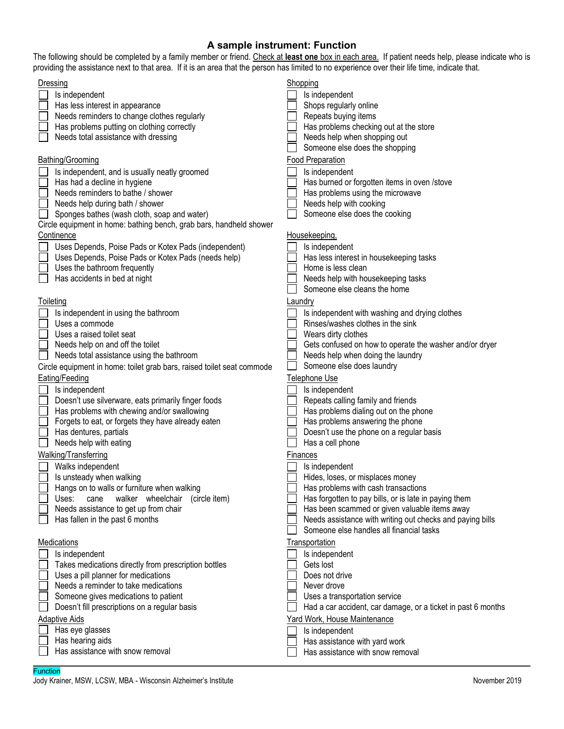### **A sample instrument: Function**

The following should be completed by a family member or friend. Check at **least one** box in each area. If patient needs help, please indicate who is providing the assistance next to that area. If it is an area that the person has limited to no experience over their life time, indicate that.

| Dressing<br>Is independent<br>Has less interest in appearance<br>Needs reminders to change clothes regularly<br>Has problems putting on clothing correctly<br>Needs total assistance with dressing<br>Bathing/Grooming<br>Is independent, and is usually neatly groomed<br>Has had a decline in hygiene<br>Needs reminders to bathe / shower<br>Needs help during bath / shower<br>Sponges bathes (wash cloth, soap and water) | Shopping<br>Is independent<br>Shops regularly online<br>Repeats buying items<br>Has problems checking out at the store<br>Needs help when shopping out<br>Someone else does the shopping<br>Food Preparation<br>Is independent<br>Has burned or forgotten items in oven /stove<br>Has problems using the microwave<br>Needs help with cooking<br>Someone else does the cooking |
|--------------------------------------------------------------------------------------------------------------------------------------------------------------------------------------------------------------------------------------------------------------------------------------------------------------------------------------------------------------------------------------------------------------------------------|--------------------------------------------------------------------------------------------------------------------------------------------------------------------------------------------------------------------------------------------------------------------------------------------------------------------------------------------------------------------------------|
| Circle equipment in home: bathing bench, grab bars, handheld shower<br>Continence                                                                                                                                                                                                                                                                                                                                              | Housekeeping,                                                                                                                                                                                                                                                                                                                                                                  |
| Uses Depends, Poise Pads or Kotex Pads (independent)<br>Uses Depends, Poise Pads or Kotex Pads (needs help)<br>Uses the bathroom frequently<br>Has accidents in bed at night                                                                                                                                                                                                                                                   | Is independent<br>Has less interest in housekeeping tasks<br>Home is less clean<br>Needs help with housekeeping tasks<br>Someone else cleans the home                                                                                                                                                                                                                          |
| Toileting                                                                                                                                                                                                                                                                                                                                                                                                                      | Laundry                                                                                                                                                                                                                                                                                                                                                                        |
| Is independent in using the bathroom<br>Uses a commode<br>Uses a raised toilet seat<br>Needs help on and off the toilet<br>Needs total assistance using the bathroom<br>Circle equipment in home: toilet grab bars, raised toilet seat commode                                                                                                                                                                                 | Is independent with washing and drying clothes<br>Rinses/washes clothes in the sink<br>Wears dirty clothes<br>Gets confused on how to operate the washer and/or dryer<br>Needs help when doing the laundry<br>Someone else does laundry                                                                                                                                        |
| Eating/Feeding                                                                                                                                                                                                                                                                                                                                                                                                                 | Telephone Use                                                                                                                                                                                                                                                                                                                                                                  |
| Is independent<br>Doesn't use silverware, eats primarily finger foods<br>Has problems with chewing and/or swallowing<br>Forgets to eat, or forgets they have already eaten<br>Has dentures, partials<br>Needs help with eating                                                                                                                                                                                                 | Is independent<br>Repeats calling family and friends<br>Has problems dialing out on the phone<br>Has problems answering the phone<br>Doesn't use the phone on a regular basis<br>Has a cell phone                                                                                                                                                                              |
| Walking/Transferring<br>Walks independent<br>Is unsteady when walking<br>Hangs on to walls or furniture when walking<br>walker wheelchair<br>Uses:<br>(circle item)<br>cane<br>Needs assistance to get up from chair<br>Has fallen in the past 6 months                                                                                                                                                                        | <b>Finances</b><br>Is independent<br>Hides, loses, or misplaces money<br>Has problems with cash transactions<br>Has forgotten to pay bills, or is late in paying them<br>Has been scammed or given valuable items away<br>Needs assistance with writing out checks and paying bills<br>Someone else handles all financial tasks                                                |
| Medications<br>Is independent<br>Takes medications directly from prescription bottles<br>Uses a pill planner for medications<br>Needs a reminder to take medications<br>Someone gives medications to patient<br>Doesn't fill prescriptions on a regular basis<br><b>Adaptive Aids</b><br>Has eye glasses<br>Has hearing aids<br>Has assistance with snow removal                                                               | <b>Transportation</b><br>Is independent<br>Gets lost<br>Does not drive<br>Never drove<br>Uses a transportation service<br>Had a car accident, car damage, or a ticket in past 6 months<br>Yard Work, House Maintenance<br>Is independent<br>Has assistance with yard work<br>Has assistance with snow removal                                                                  |

#### **Function**

Jody Krainer, MSW, LCSW, MBA - Wisconsin Alzheimer's Institute November 2019 November 2019